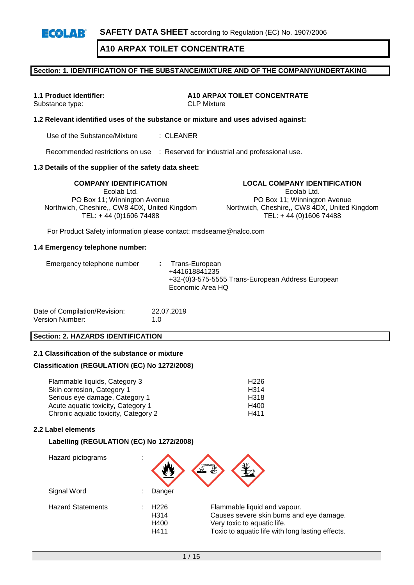**SAFETY DATA SHEET** according to Regulation (EC) No. 1907/2006  $E(X|A)$ 

**A10 ARPAX TOILET CONCENTRATE**

### **Section: 1. IDENTIFICATION OF THE SUBSTANCE/MIXTURE AND OF THE COMPANY/UNDERTAKING**

# Substance type:

**1.1 Product identifier:**  $\begin{array}{ccc}\n\bullet & A10 & ARPAX & TOLET & COMCENTRATE \\
\bullet & CLP & Mixture & \\
\end{array}$ 

### **1.2 Relevant identified uses of the substance or mixture and uses advised against:**

Use of the Substance/Mixture : CLEANER

Recommended restrictions on use : Reserved for industrial and professional use.

#### **1.3 Details of the supplier of the safety data sheet:**

**COMPANY IDENTIFICATION LOCAL COMPANY IDENTIFICATION** Ecolab Ltd. PO Box 11; Winnington Avenue Northwich, Cheshire,, CW8 4DX, United Kingdom TEL: + 44 (0)1606 74488

Ecolab Ltd.

PO Box 11; Winnington Avenue Northwich, Cheshire,, CW8 4DX, United Kingdom TEL: + 44 (0)1606 74488

For Product Safety information please contact: msdseame@nalco.com

#### **1.4 Emergency telephone number:**

| Date of Compilation/Revision: | 22.07.2019  |
|-------------------------------|-------------|
| Version Number:               | 1. $\Omega$ |

#### **Section: 2. HAZARDS IDENTIFICATION**

#### **2.1 Classification of the substance or mixture**

#### **Classification (REGULATION (EC) No 1272/2008)**

| Flammable liquids, Category 3        | H <sub>226</sub> |
|--------------------------------------|------------------|
| Skin corrosion, Category 1           | H <sub>314</sub> |
| Serious eye damage, Category 1       | H <sub>318</sub> |
| Acute aquatic toxicity, Category 1   | H400             |
| Chronic aquatic toxicity, Category 2 | H411             |

#### **2.2 Label elements**

#### **Labelling (REGULATION (EC) No 1272/2008)**

| Hazard pictograms        |                                          |                                                                                                                                                             |
|--------------------------|------------------------------------------|-------------------------------------------------------------------------------------------------------------------------------------------------------------|
| Signal Word              | Danger                                   |                                                                                                                                                             |
| <b>Hazard Statements</b> | H <sub>226</sub><br>H314<br>H400<br>H411 | Flammable liquid and vapour.<br>Causes severe skin burns and eye damage.<br>Very toxic to aquatic life.<br>Toxic to aquatic life with long lasting effects. |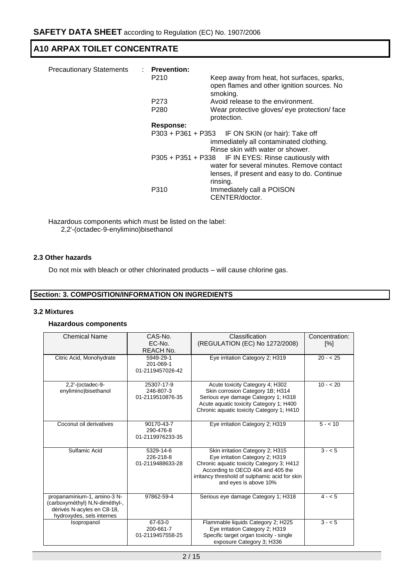| <b>Precautionary Statements</b> | : Prevention:<br>P210 | Keep away from heat, hot surfaces, sparks,<br>open flames and other ignition sources. No<br>smoking.                                                         |
|---------------------------------|-----------------------|--------------------------------------------------------------------------------------------------------------------------------------------------------------|
|                                 | P273                  | Avoid release to the environment.                                                                                                                            |
|                                 | P <sub>280</sub>      | Wear protective gloves/ eye protection/ face<br>protection.                                                                                                  |
|                                 | Response:             |                                                                                                                                                              |
|                                 |                       | P303 + P361 + P353 IF ON SKIN (or hair): Take off<br>immediately all contaminated clothing.<br>Rinse skin with water or shower.                              |
|                                 |                       | P305 + P351 + P338 IF IN EYES: Rinse cautiously with<br>water for several minutes. Remove contact<br>lenses, if present and easy to do. Continue<br>rinsing. |
|                                 | P310                  | Immediately call a POISON<br>CENTER/doctor.                                                                                                                  |

Hazardous components which must be listed on the label: 2,2'-(octadec-9-enylimino)bisethanol

#### **2.3 Other hazards**

Do not mix with bleach or other chlorinated products – will cause chlorine gas.

### **Section: 3. COMPOSITION/INFORMATION ON INGREDIENTS**

#### **3.2 Mixtures**

#### **Hazardous components**

| <b>Chemical Name</b>           | CAS-No.          | Classification                                 | Concentration:     |
|--------------------------------|------------------|------------------------------------------------|--------------------|
|                                | $EC-No.$         | (REGULATION (EC) No 1272/2008)                 | $\lceil \% \rceil$ |
|                                | <b>REACH No.</b> |                                                |                    |
| Citric Acid, Monohydrate       | 5949-29-1        | Eye irritation Category 2; H319                | $20 - 525$         |
|                                | 201-069-1        |                                                |                    |
|                                | 01-2119457026-42 |                                                |                    |
|                                |                  |                                                |                    |
| $2,2'$ -(octadec-9-            | 25307-17-9       | Acute toxicity Category 4; H302                | $10 - 20$          |
| enylimino)bisethanol           | 246-807-3        | Skin corrosion Category 1B; H314               |                    |
|                                | 01-2119510876-35 | Serious eye damage Category 1; H318            |                    |
|                                |                  | Acute aquatic toxicity Category 1; H400        |                    |
|                                |                  | Chronic aquatic toxicity Category 1; H410      |                    |
|                                |                  |                                                |                    |
| Coconut oil derivatives        | 90170-43-7       | Eye irritation Category 2; H319                | $5 - 10$           |
|                                | 290-476-8        |                                                |                    |
|                                | 01-2119976233-35 |                                                |                    |
| Sulfamic Acid                  | 5329-14-6        | Skin irritation Category 2; H315               | $3 - 5$            |
|                                | 226-218-8        | Eye irritation Category 2; H319                |                    |
|                                | 01-2119488633-28 | Chronic aquatic toxicity Category 3; H412      |                    |
|                                |                  | According to OECD 404 and 405 the              |                    |
|                                |                  | irritancy threshold of sulphamic acid for skin |                    |
|                                |                  | and eyes is above 10%                          |                    |
|                                |                  |                                                |                    |
| propanaminium-1, amino-3 N-    | 97862-59-4       | Serious eye damage Category 1; H318            | $4 - 5$            |
| (carboxyméthyl) N,N-diméthyl-, |                  |                                                |                    |
| dérivés N-acyles en C8-18,     |                  |                                                |                    |
| hydroxydes, sels internes      |                  |                                                |                    |
| Isopropanol                    | 67-63-0          | Flammable liquids Category 2; H225             | $3 - 5$            |
|                                | 200-661-7        | Eye irritation Category 2; H319                |                    |
|                                | 01-2119457558-25 | Specific target organ toxicity - single        |                    |
|                                |                  | exposure Category 3; H336                      |                    |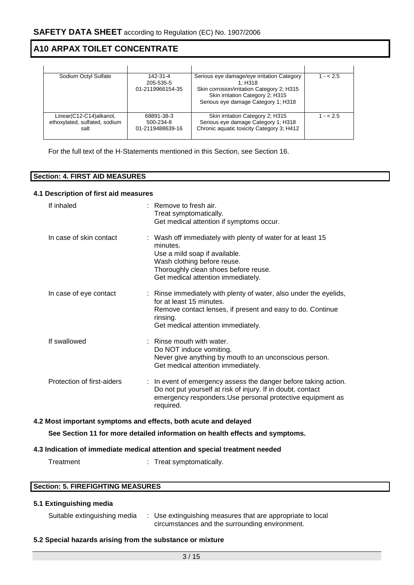| Sodium Octyl Sulfate                                             | 142-31-4<br>205-535-5<br>01-2119966154-35   | Serious eye damage/eye irritation Category<br>1: H318<br>Skin corrosion/irritation Category 2; H315<br>Skin irritation Category 2; H315<br>Serious eye damage Category 1; H318 | $1 - 2.5$ |
|------------------------------------------------------------------|---------------------------------------------|--------------------------------------------------------------------------------------------------------------------------------------------------------------------------------|-----------|
| Linear(C12-C14)alkanol,<br>ethoxylated, sulfated, sodium<br>salt | 68891-38-3<br>500-234-8<br>01-2119488639-16 | Skin irritation Category 2; H315<br>Serious eye damage Category 1; H318<br>Chronic aquatic toxicity Category 3; H412                                                           | $1 - 2.5$ |

For the full text of the H-Statements mentioned in this Section, see Section 16.

### **Section: 4. FIRST AID MEASURES**

#### **4.1 Description of first aid measures**

| If inhaled                                                      | $:$ Remove to fresh air.<br>Treat symptomatically.<br>Get medical attention if symptoms occur.                                                                                                                        |
|-----------------------------------------------------------------|-----------------------------------------------------------------------------------------------------------------------------------------------------------------------------------------------------------------------|
| In case of skin contact                                         | : Wash off immediately with plenty of water for at least 15<br>minutes.<br>Use a mild soap if available.<br>Wash clothing before reuse.<br>Thoroughly clean shoes before reuse.<br>Get medical attention immediately. |
| In case of eye contact                                          | : Rinse immediately with plenty of water, also under the eyelids,<br>for at least 15 minutes.<br>Remove contact lenses, if present and easy to do. Continue<br>rinsing.<br>Get medical attention immediately.         |
| If swallowed                                                    | : Rinse mouth with water.<br>Do NOT induce vomiting.<br>Never give anything by mouth to an unconscious person.<br>Get medical attention immediately.                                                                  |
| Protection of first-aiders                                      | : In event of emergency assess the danger before taking action.<br>Do not put yourself at risk of injury. If in doubt, contact<br>emergency responders. Use personal protective equipment as<br>required.             |
| 4.2 Most important symptoms and effects, both acute and delayed |                                                                                                                                                                                                                       |
|                                                                 | See Section 11 for more detailed information on health effects and symptoms.                                                                                                                                          |
|                                                                 | 4.3 Indication of immediate medical attention and special treatment needed                                                                                                                                            |

Treatment : Treat symptomatically.

#### **Section: 5. FIREFIGHTING MEASURES**

#### **5.1 Extinguishing media**

| Suitable extinguishing media |  | Use extinguishing measures that are appropriate to local |
|------------------------------|--|----------------------------------------------------------|
|                              |  | circumstances and the surrounding environment.           |

#### **5.2 Special hazards arising from the substance or mixture**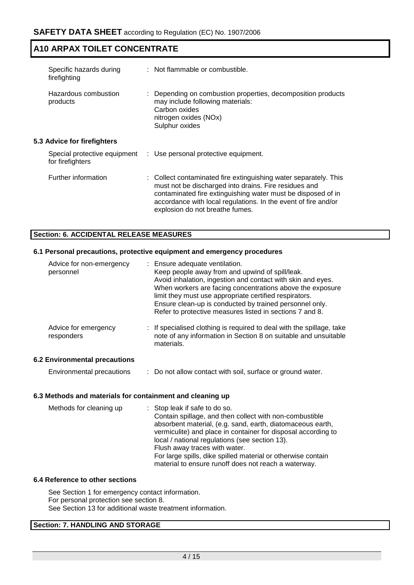| Specific hazards during<br>firefighting          | : Not flammable or combustible.                                                                                                                                                                                                                                                                |
|--------------------------------------------------|------------------------------------------------------------------------------------------------------------------------------------------------------------------------------------------------------------------------------------------------------------------------------------------------|
| Hazardous combustion<br>products                 | : Depending on combustion properties, decomposition products<br>may include following materials:<br>Carbon oxides<br>nitrogen oxides (NOx)<br>Sulphur oxides                                                                                                                                   |
| <b>5.3 Advice for firefighters</b>               |                                                                                                                                                                                                                                                                                                |
| Special protective equipment<br>for firefighters | : Use personal protective equipment.                                                                                                                                                                                                                                                           |
| Further information                              | : Collect contaminated fire extinguishing water separately. This<br>must not be discharged into drains. Fire residues and<br>contaminated fire extinguishing water must be disposed of in<br>accordance with local regulations. In the event of fire and/or<br>explosion do not breathe fumes. |

# **Section: 6. ACCIDENTAL RELEASE MEASURES**

#### **6.1 Personal precautions, protective equipment and emergency procedures**

| Advice for non-emergency<br>personnel | : Ensure adequate ventilation.<br>Keep people away from and upwind of spill/leak.<br>Avoid inhalation, ingestion and contact with skin and eyes.<br>When workers are facing concentrations above the exposure<br>limit they must use appropriate certified respirators.<br>Ensure clean-up is conducted by trained personnel only.<br>Refer to protective measures listed in sections 7 and 8. |
|---------------------------------------|------------------------------------------------------------------------------------------------------------------------------------------------------------------------------------------------------------------------------------------------------------------------------------------------------------------------------------------------------------------------------------------------|
| Advice for emergency<br>responders    | : If specialised clothing is required to deal with the spillage, take<br>note of any information in Section 8 on suitable and unsuitable<br>materials.                                                                                                                                                                                                                                         |

### **6.2 Environmental precautions**

Environmental precautions : Do not allow contact with soil, surface or ground water.

#### **6.3 Methods and materials for containment and cleaning up**

| Methods for cleaning up | : Stop leak if safe to do so.                                 |
|-------------------------|---------------------------------------------------------------|
|                         | Contain spillage, and then collect with non-combustible       |
|                         | absorbent material, (e.g. sand, earth, diatomaceous earth,    |
|                         | vermiculite) and place in container for disposal according to |
|                         | local / national regulations (see section 13).                |
|                         | Flush away traces with water.                                 |
|                         | For large spills, dike spilled material or otherwise contain  |
|                         | material to ensure runoff does not reach a waterway.          |
|                         |                                                               |

#### **6.4 Reference to other sections**

See Section 1 for emergency contact information. For personal protection see section 8. See Section 13 for additional waste treatment information.

### **Section: 7. HANDLING AND STORAGE**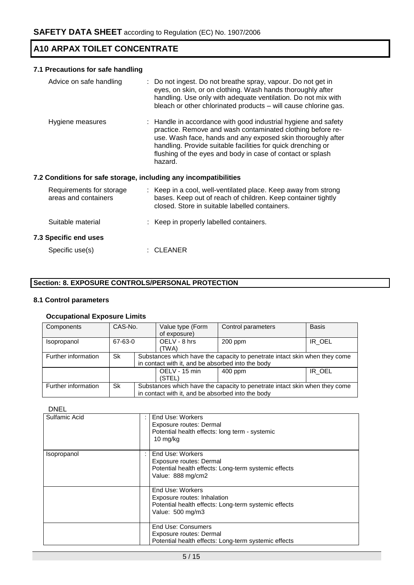# **7.1 Precautions for safe handling**

| Advice on safe handling                          | : Do not ingest. Do not breathe spray, vapour. Do not get in<br>eyes, on skin, or on clothing. Wash hands thoroughly after<br>handling. Use only with adequate ventilation. Do not mix with<br>bleach or other chlorinated products - will cause chlorine gas.                                                            |
|--------------------------------------------------|---------------------------------------------------------------------------------------------------------------------------------------------------------------------------------------------------------------------------------------------------------------------------------------------------------------------------|
| Hygiene measures                                 | : Handle in accordance with good industrial hygiene and safety<br>practice. Remove and wash contaminated clothing before re-<br>use. Wash face, hands and any exposed skin thoroughly after<br>handling. Provide suitable facilities for quick drenching or<br>flushing of the eyes and body in case of contact or splash |
|                                                  | hazard.                                                                                                                                                                                                                                                                                                                   |
|                                                  | 7.2 Conditions for safe storage, including any incompatibilities                                                                                                                                                                                                                                                          |
| Requirements for storage<br>areas and containers | : Keep in a cool, well-ventilated place. Keep away from strong<br>bases. Keep out of reach of children. Keep container tightly<br>closed. Store in suitable labelled containers.                                                                                                                                          |
| Suitable material                                | : Keep in properly labelled containers.                                                                                                                                                                                                                                                                                   |
| <b>7.3 Specific end uses</b>                     |                                                                                                                                                                                                                                                                                                                           |

# **Section: 8. EXPOSURE CONTROLS/PERSONAL PROTECTION**

#### **8.1 Control parameters**

### **Occupational Exposure Limits**

| Components          | CAS-No. |                                                   | Value type (Form                                                           | <b>Basis</b>                                                               |              |           |        |
|---------------------|---------|---------------------------------------------------|----------------------------------------------------------------------------|----------------------------------------------------------------------------|--------------|-----------|--------|
|                     |         |                                                   | of exposure)                                                               |                                                                            |              |           |        |
| Isopropanol         | 67-63-0 |                                                   |                                                                            |                                                                            | OELV - 8 hrs | $200$ ppm | IR OEL |
|                     |         |                                                   | (TWA)                                                                      |                                                                            |              |           |        |
| Further information | Sk      |                                                   |                                                                            | Substances which have the capacity to penetrate intact skin when they come |              |           |        |
|                     |         |                                                   | in contact with it, and be absorbed into the body                          |                                                                            |              |           |        |
|                     |         |                                                   | OELV - 15 min                                                              | $400$ ppm                                                                  | IR OEL       |           |        |
|                     |         |                                                   | (STEL)                                                                     |                                                                            |              |           |        |
| Further information | Sk      |                                                   | Substances which have the capacity to penetrate intact skin when they come |                                                                            |              |           |        |
|                     |         | in contact with it, and be absorbed into the body |                                                                            |                                                                            |              |           |        |

#### DNEL

| Sulfamic Acid | End Use: Workers<br>Exposure routes: Dermal<br>Potential health effects: long term - systemic<br>10 mg/kg                   |
|---------------|-----------------------------------------------------------------------------------------------------------------------------|
| Isopropanol   | End Use: Workers<br>Exposure routes: Dermal<br>Potential health effects: Long-term systemic effects<br>Value: 888 mg/cm2    |
|               | End Use: Workers<br>Exposure routes: Inhalation<br>Potential health effects: Long-term systemic effects<br>Value: 500 mg/m3 |
|               | End Use: Consumers<br>Exposure routes: Dermal<br>Potential health effects: Long-term systemic effects                       |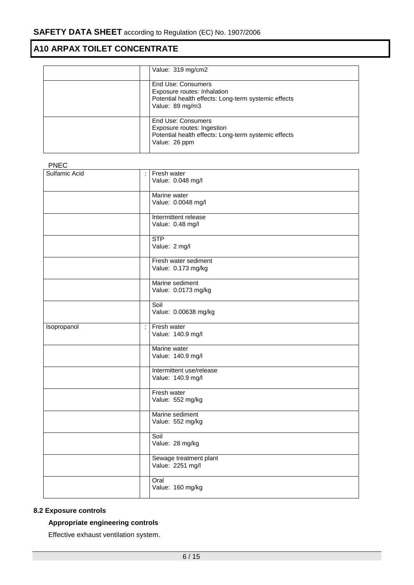| Value: 319 mg/cm2                                                                                                            |
|------------------------------------------------------------------------------------------------------------------------------|
| End Use: Consumers<br>Exposure routes: Inhalation<br>Potential health effects: Long-term systemic effects<br>Value: 89 mg/m3 |
| End Use: Consumers<br>Exposure routes: Ingestion<br>Potential health effects: Long-term systemic effects<br>Value: 26 ppm    |

| <b>PNEC</b>          |                                               |
|----------------------|-----------------------------------------------|
| <b>Sulfamic Acid</b> | Fresh water<br>÷<br>Value: 0.048 mg/l         |
|                      | Marine water<br>Value: 0.0048 mg/l            |
|                      | Intermittent release<br>Value: 0.48 mg/l      |
|                      | <b>STP</b><br>Value: 2 mg/l                   |
|                      | Fresh water sediment<br>Value: 0.173 mg/kg    |
|                      | Marine sediment<br>Value: 0.0173 mg/kg        |
|                      | Soil<br>Value: 0.00638 mg/kg                  |
| Isopropanol          | Fresh water<br>Ŧ<br>Value: 140.9 mg/l         |
|                      | Marine water<br>Value: 140.9 mg/l             |
|                      | Intermittent use/release<br>Value: 140.9 mg/l |
|                      | Fresh water<br>Value: 552 mg/kg               |
|                      | Marine sediment<br>Value: 552 mg/kg           |
|                      | Soil<br>Value: 28 mg/kg                       |
|                      | Sewage treatment plant<br>Value: 2251 mg/l    |
|                      | Oral<br>Value: 160 mg/kg                      |

## **8.2 Exposure controls**

## **Appropriate engineering controls**

Effective exhaust ventilation system.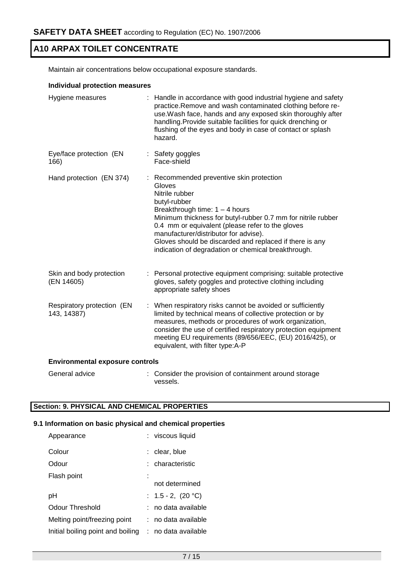Maintain air concentrations below occupational exposure standards.

#### **Individual protection measures**

| Hygiene measures                          |  | Handle in accordance with good industrial hygiene and safety<br>practice.Remove and wash contaminated clothing before re-<br>use. Wash face, hands and any exposed skin thoroughly after<br>handling. Provide suitable facilities for quick drenching or<br>flushing of the eyes and body in case of contact or splash<br>hazard.                                                                       |  |  |
|-------------------------------------------|--|---------------------------------------------------------------------------------------------------------------------------------------------------------------------------------------------------------------------------------------------------------------------------------------------------------------------------------------------------------------------------------------------------------|--|--|
| Eye/face protection (EN<br>166)           |  | : Safety goggles<br>Face-shield                                                                                                                                                                                                                                                                                                                                                                         |  |  |
| Hand protection (EN 374)                  |  | : Recommended preventive skin protection<br>Gloves<br>Nitrile rubber<br>butyl-rubber<br>Breakthrough time: $1 - 4$ hours<br>Minimum thickness for butyl-rubber 0.7 mm for nitrile rubber<br>0.4 mm or equivalent (please refer to the gloves<br>manufacturer/distributor for advise).<br>Gloves should be discarded and replaced if there is any<br>indication of degradation or chemical breakthrough. |  |  |
| Skin and body protection<br>(EN 14605)    |  | : Personal protective equipment comprising: suitable protective<br>gloves, safety goggles and protective clothing including<br>appropriate safety shoes                                                                                                                                                                                                                                                 |  |  |
| Respiratory protection (EN<br>143, 14387) |  | : When respiratory risks cannot be avoided or sufficiently<br>limited by technical means of collective protection or by<br>measures, methods or procedures of work organization,<br>consider the use of certified respiratory protection equipment<br>meeting EU requirements (89/656/EEC, (EU) 2016/425), or<br>equivalent, with filter type:A-P                                                       |  |  |
| <b>Environmental exposure controls</b>    |  |                                                                                                                                                                                                                                                                                                                                                                                                         |  |  |
| General advice                            |  | : Consider the provision of containment around storage                                                                                                                                                                                                                                                                                                                                                  |  |  |

## **Section: 9. PHYSICAL AND CHEMICAL PROPERTIES**

#### **9.1 Information on basic physical and chemical properties**

vessels.

| Appearance                        | : viscous liquid        |
|-----------------------------------|-------------------------|
| Colour                            | : clear, blue           |
| Odour                             | : characteristic        |
| Flash point                       |                         |
|                                   | not determined          |
| рH                                | : $1.5 - 2$ , $(20 °C)$ |
| Odour Threshold                   | : no data available     |
| Melting point/freezing point      | : no data available     |
| Initial boiling point and boiling | : no data available     |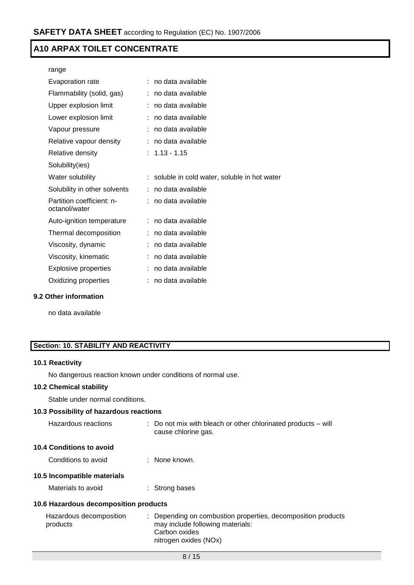| range                                      |    |                                             |
|--------------------------------------------|----|---------------------------------------------|
| Evaporation rate                           | ۰. | no data available                           |
| Flammability (solid, gas)                  |    | no data available                           |
| Upper explosion limit                      |    | no data available                           |
| Lower explosion limit                      |    | no data available                           |
| Vapour pressure                            |    | no data available                           |
| Relative vapour density                    |    | no data available                           |
| Relative density                           |    | $: 1.13 - 1.15$                             |
| Solubility(ies)                            |    |                                             |
| Water solubility                           | ÷. | soluble in cold water, soluble in hot water |
| Solubility in other solvents               |    | no data available                           |
| Partition coefficient: n-<br>octanol/water |    | no data available                           |
| Auto-ignition temperature                  |    | no data available                           |
| Thermal decomposition                      |    | no data available                           |
| Viscosity, dynamic                         |    | no data available                           |
| Viscosity, kinematic                       |    | no data available                           |
| <b>Explosive properties</b>                |    | no data available                           |
| Oxidizing properties                       |    | no data available                           |
|                                            |    |                                             |

### **9.2 Other information**

no data available

# **Section: 10. STABILITY AND REACTIVITY**

#### **10.1 Reactivity**

No dangerous reaction known under conditions of normal use.

## **10.2 Chemical stability**

Stable under normal conditions.

## **10.3 Possibility of hazardous reactions**

| Hazardous reactions | $\therefore$ Do not mix with bleach or other chlorinated products – will |
|---------------------|--------------------------------------------------------------------------|
|                     | cause chlorine gas.                                                      |

### **10.4 Conditions to avoid**

Conditions to avoid : None known.

## **10.5 Incompatible materials**

Materials to avoid : Strong bases

## **10.6 Hazardous decomposition products**

| Hazardous decomposition | : Depending on combustion properties, decomposition products |
|-------------------------|--------------------------------------------------------------|
| products                | may include following materials:                             |
|                         | Carbon oxides                                                |
|                         | nitrogen oxides (NOx)                                        |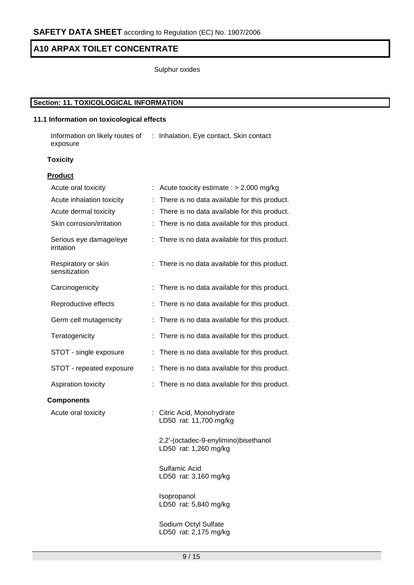Sulphur oxides

# **Section: 11. TOXICOLOGICAL INFORMATION**

### **11.1 Information on toxicological effects**

Information on likely routes of : Inhalation, Eye contact, Skin contact exposure

### **Toxicity**

#### **Product**

| Acute oral toxicity                  | Acute toxicity estimate : $> 2,000$ mg/kg                     |
|--------------------------------------|---------------------------------------------------------------|
| Acute inhalation toxicity            | There is no data available for this product.                  |
| Acute dermal toxicity                | There is no data available for this product.<br>t             |
| Skin corrosion/irritation            | There is no data available for this product.<br>÷             |
| Serious eye damage/eye<br>irritation | There is no data available for this product.                  |
| Respiratory or skin<br>sensitization | There is no data available for this product.                  |
| Carcinogenicity                      | There is no data available for this product.                  |
| Reproductive effects                 | There is no data available for this product.                  |
| Germ cell mutagenicity               | There is no data available for this product.<br>t             |
| Teratogenicity                       | There is no data available for this product.                  |
| STOT - single exposure               | There is no data available for this product.<br>t             |
| STOT - repeated exposure             | There is no data available for this product.<br>t             |
| Aspiration toxicity                  | There is no data available for this product.                  |
| <b>Components</b>                    |                                                               |
| Acute oral toxicity                  | : Citric Acid, Monohydrate<br>LD50 rat: 11,700 mg/kg          |
|                                      | 2,2'-(octadec-9-enylimino)bisethanol<br>LD50 rat: 1,260 mg/kg |
|                                      | Sulfamic Acid<br>LD50 rat: 3,160 mg/kg                        |
|                                      | Isopropanol<br>LD50 rat: 5,840 mg/kg                          |
|                                      | Sodium Octyl Sulfate                                          |

LD50 rat: 2,175 mg/kg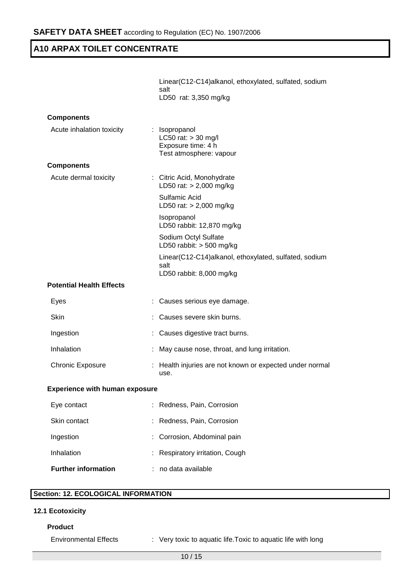|                                       | Linear(C12-C14)alkanol, ethoxylated, sulfated, sodium<br>salt<br>LD50 rat: 3,350 mg/kg    |
|---------------------------------------|-------------------------------------------------------------------------------------------|
| <b>Components</b>                     |                                                                                           |
| Acute inhalation toxicity             | : Isopropanol<br>LC50 rat: $>$ 30 mg/l<br>Exposure time: 4 h<br>Test atmosphere: vapour   |
| <b>Components</b>                     |                                                                                           |
| Acute dermal toxicity                 | : Citric Acid, Monohydrate<br>LD50 rat: $> 2,000$ mg/kg                                   |
|                                       | Sulfamic Acid<br>LD50 rat: $> 2,000$ mg/kg                                                |
|                                       | Isopropanol<br>LD50 rabbit: 12,870 mg/kg                                                  |
|                                       | Sodium Octyl Sulfate<br>LD50 rabbit: $>$ 500 mg/kg                                        |
|                                       | Linear(C12-C14)alkanol, ethoxylated, sulfated, sodium<br>salt<br>LD50 rabbit: 8,000 mg/kg |
| <b>Potential Health Effects</b>       |                                                                                           |
| Eyes                                  | Causes serious eye damage.                                                                |
| Skin                                  | Causes severe skin burns.                                                                 |
| Ingestion                             | Causes digestive tract burns.                                                             |
| Inhalation                            | May cause nose, throat, and lung irritation.                                              |
| <b>Chronic Exposure</b>               | : Health injuries are not known or expected under normal<br>use.                          |
| <b>Experience with human exposure</b> |                                                                                           |
| Eye contact                           | Redness, Pain, Corrosion                                                                  |
| Skin contact                          | Redness, Pain, Corrosion                                                                  |
| Ingestion                             | Corrosion, Abdominal pain                                                                 |
| Inhalation                            | Respiratory irritation, Cough                                                             |
| <b>Further information</b>            | no data available                                                                         |

# **Section: 12. ECOLOGICAL INFORMATION**

## **12.1 Ecotoxicity**

### **Product**

Environmental Effects : Very toxic to aquatic life.Toxic to aquatic life with long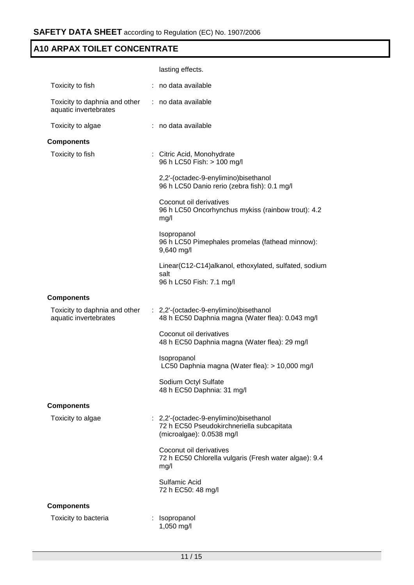|                                                        | lasting effects.                                                                                                 |
|--------------------------------------------------------|------------------------------------------------------------------------------------------------------------------|
| Toxicity to fish                                       | : no data available                                                                                              |
| Toxicity to daphnia and other<br>aquatic invertebrates | : no data available                                                                                              |
| Toxicity to algae                                      | : no data available                                                                                              |
| <b>Components</b>                                      |                                                                                                                  |
| Toxicity to fish                                       | : Citric Acid, Monohydrate<br>96 h LC50 Fish: > 100 mg/l                                                         |
|                                                        | 2,2'-(octadec-9-enylimino)bisethanol<br>96 h LC50 Danio rerio (zebra fish): 0.1 mg/l                             |
|                                                        | Coconut oil derivatives<br>96 h LC50 Oncorhynchus mykiss (rainbow trout): 4.2<br>mg/l                            |
|                                                        | Isopropanol<br>96 h LC50 Pimephales promelas (fathead minnow):<br>9,640 mg/l                                     |
|                                                        | Linear(C12-C14)alkanol, ethoxylated, sulfated, sodium<br>salt<br>96 h LC50 Fish: 7.1 mg/l                        |
| <b>Components</b>                                      |                                                                                                                  |
| Toxicity to daphnia and other<br>aquatic invertebrates | : 2,2'-(octadec-9-enylimino) bisethanol<br>48 h EC50 Daphnia magna (Water flea): 0.043 mg/l                      |
|                                                        | Coconut oil derivatives<br>48 h EC50 Daphnia magna (Water flea): 29 mg/l                                         |
|                                                        | Isopropanol<br>LC50 Daphnia magna (Water flea): > 10,000 mg/l                                                    |
|                                                        | Sodium Octyl Sulfate<br>48 h EC50 Daphnia: 31 mg/l                                                               |
| <b>Components</b>                                      |                                                                                                                  |
| Toxicity to algae                                      | : 2,2'-(octadec-9-enylimino)bisethanol<br>72 h EC50 Pseudokirchneriella subcapitata<br>(microalgae): 0.0538 mg/l |
|                                                        | Coconut oil derivatives<br>72 h EC50 Chlorella vulgaris (Fresh water algae): 9.4<br>mg/l                         |
|                                                        | Sulfamic Acid<br>72 h EC50: 48 mg/l                                                                              |
| <b>Components</b>                                      |                                                                                                                  |
| Toxicity to bacteria                                   | Isopropanol<br>1,050 mg/l                                                                                        |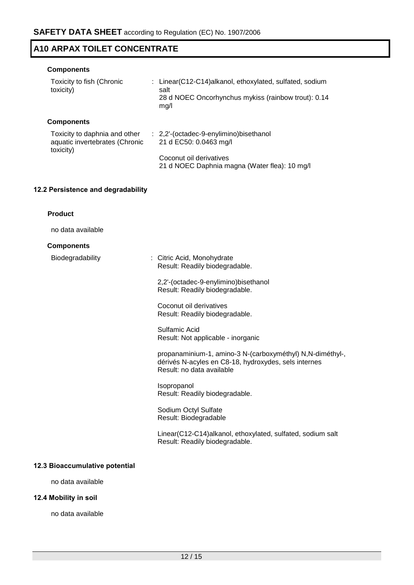### **Components**

| Toxicity to fish (Chronic<br>toxicity)                                       | : Linear(C12-C14)alkanol, ethoxylated, sulfated, sodium<br>salt<br>28 d NOEC Oncorhynchus mykiss (rainbow trout): 0.14<br>mg/l |
|------------------------------------------------------------------------------|--------------------------------------------------------------------------------------------------------------------------------|
| <b>Components</b>                                                            |                                                                                                                                |
| Toxicity to daphnia and other<br>aquatic invertebrates (Chronic<br>toxicity) | : 2,2'-(octadec-9-enylimino) bisethanol<br>21 d EC50: 0.0463 mg/l                                                              |
|                                                                              | Coconut oil derivatives<br>21 d NOEC Daphnia magna (Water flea): 10 mg/l                                                       |

# **12.2 Persistence and degradability**

| <b>Product</b>                 |                                                                                                                                                |
|--------------------------------|------------------------------------------------------------------------------------------------------------------------------------------------|
| no data available              |                                                                                                                                                |
| <b>Components</b>              |                                                                                                                                                |
| Biodegradability               | : Citric Acid, Monohydrate<br>Result: Readily biodegradable.                                                                                   |
|                                | 2,2'-(octadec-9-enylimino)bisethanol<br>Result: Readily biodegradable.                                                                         |
|                                | Coconut oil derivatives<br>Result: Readily biodegradable.                                                                                      |
|                                | Sulfamic Acid<br>Result: Not applicable - inorganic                                                                                            |
|                                | propanaminium-1, amino-3 N-(carboxyméthyl) N,N-diméthyl-,<br>dérivés N-acyles en C8-18, hydroxydes, sels internes<br>Result: no data available |
|                                | Isopropanol<br>Result: Readily biodegradable.                                                                                                  |
|                                | Sodium Octyl Sulfate<br>Result: Biodegradable                                                                                                  |
|                                | Linear(C12-C14)alkanol, ethoxylated, sulfated, sodium salt<br>Result: Readily biodegradable.                                                   |
| 12.3 Bioaccumulative potential |                                                                                                                                                |

no data available

## **12.4 Mobility in soil**

no data available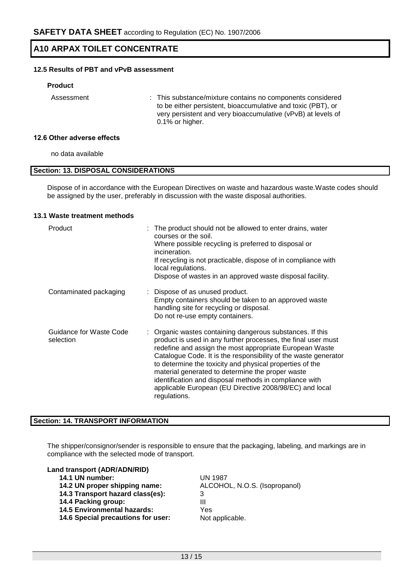## **12.5 Results of PBT and vPvB assessment**

#### **Product**

Assessment : This substance/mixture contains no components considered to be either persistent, bioaccumulative and toxic (PBT), or very persistent and very bioaccumulative (vPvB) at levels of 0.1% or higher.

#### **12.6 Other adverse effects**

no data available

### **Section: 13. DISPOSAL CONSIDERATIONS**

Dispose of in accordance with the European Directives on waste and hazardous waste.Waste codes should be assigned by the user, preferably in discussion with the waste disposal authorities.

#### **13.1 Waste treatment methods**

| Product                              | : The product should not be allowed to enter drains, water<br>courses or the soil.<br>Where possible recycling is preferred to disposal or<br>incineration.<br>If recycling is not practicable, dispose of in compliance with<br>local regulations.<br>Dispose of wastes in an approved waste disposal facility.                                                                                                                                                                                              |
|--------------------------------------|---------------------------------------------------------------------------------------------------------------------------------------------------------------------------------------------------------------------------------------------------------------------------------------------------------------------------------------------------------------------------------------------------------------------------------------------------------------------------------------------------------------|
| Contaminated packaging               | : Dispose of as unused product.<br>Empty containers should be taken to an approved waste<br>handling site for recycling or disposal.<br>Do not re-use empty containers.                                                                                                                                                                                                                                                                                                                                       |
| Guidance for Waste Code<br>selection | : Organic wastes containing dangerous substances. If this<br>product is used in any further processes, the final user must<br>redefine and assign the most appropriate European Waste<br>Catalogue Code. It is the responsibility of the waste generator<br>to determine the toxicity and physical properties of the<br>material generated to determine the proper waste<br>identification and disposal methods in compliance with<br>applicable European (EU Directive 2008/98/EC) and local<br>regulations. |

### **Section: 14. TRANSPORT INFORMATION**

The shipper/consignor/sender is responsible to ensure that the packaging, labeling, and markings are in compliance with the selected mode of transport.

#### **Land transport (ADR/ADN/RID)**

- **14.1 UN number:** UN 1987
- 
- **14.3 Transport hazard class(es):** 3
- **14.4 Packing group:** III
- **14.5 Environmental hazards:** Yes
- 14.6 Special precautions for user: Not applicable.

**14.2 UN proper shipping name:** ALCOHOL, N.O.S. (Isopropanol)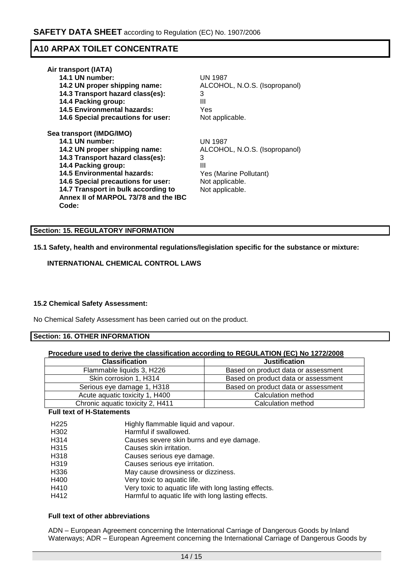| Air transport (IATA)                 |                               |
|--------------------------------------|-------------------------------|
| 14.1 UN number:                      | UN 1987                       |
| 14.2 UN proper shipping name:        | ALCOHOL, N.O.S. (Isopropanol) |
| 14.3 Transport hazard class(es):     | 3                             |
| 14.4 Packing group:                  | Ш                             |
| <b>14.5 Environmental hazards:</b>   | Yes                           |
| 14.6 Special precautions for user:   | Not applicable.               |
| Sea transport (IMDG/IMO)             |                               |
| 14.1 UN number:                      | <b>UN 1987</b>                |
| 14.2 UN proper shipping name:        | ALCOHOL, N.O.S. (Isopropanol) |
| 14.3 Transport hazard class(es):     | 3                             |
| 14.4 Packing group:                  | Ш                             |
| <b>14.5 Environmental hazards:</b>   | Yes (Marine Pollutant)        |
| 14.6 Special precautions for user:   | Not applicable.               |
| 14.7 Transport in bulk according to  | Not applicable.               |
| Annex II of MARPOL 73/78 and the IBC |                               |
| Code:                                |                               |

## **Section: 15. REGULATORY INFORMATION**

#### **15.1 Safety, health and environmental regulations/legislation specific for the substance or mixture:**

### **INTERNATIONAL CHEMICAL CONTROL LAWS**

### **15.2 Chemical Safety Assessment:**

No Chemical Safety Assessment has been carried out on the product.

#### **Section: 16. OTHER INFORMATION**

| Procedure used to derive the classification according to REGULATION (EC) No 1272/2008 |                                     |
|---------------------------------------------------------------------------------------|-------------------------------------|
| <b>Classification</b>                                                                 | <b>Justification</b>                |
| Flammable liquids 3, H226                                                             | Based on product data or assessment |
| Skin corrosion 1, H314                                                                | Based on product data or assessment |
| Serious eye damage 1, H318                                                            | Based on product data or assessment |
| Acute aquatic toxicity 1, H400                                                        | Calculation method                  |
| Chronic aquatic toxicity 2, H411                                                      | Calculation method                  |

### **Full text of H-Statements**

| H <sub>225</sub>  | Highly flammable liquid and vapour.                   |
|-------------------|-------------------------------------------------------|
| H <sub>302</sub>  | Harmful if swallowed.                                 |
| H314              | Causes severe skin burns and eye damage.              |
| H <sub>3</sub> 15 | Causes skin irritation.                               |
| H <sub>3</sub> 18 | Causes serious eye damage.                            |
| H319              | Causes serious eye irritation.                        |
| H336              | May cause drowsiness or dizziness.                    |
| H400              | Very toxic to aquatic life.                           |
| H410              | Very toxic to aquatic life with long lasting effects. |
| H412              | Harmful to aquatic life with long lasting effects.    |

#### **Full text of other abbreviations**

ADN – European Agreement concerning the International Carriage of Dangerous Goods by Inland Waterways; ADR – European Agreement concerning the International Carriage of Dangerous Goods by